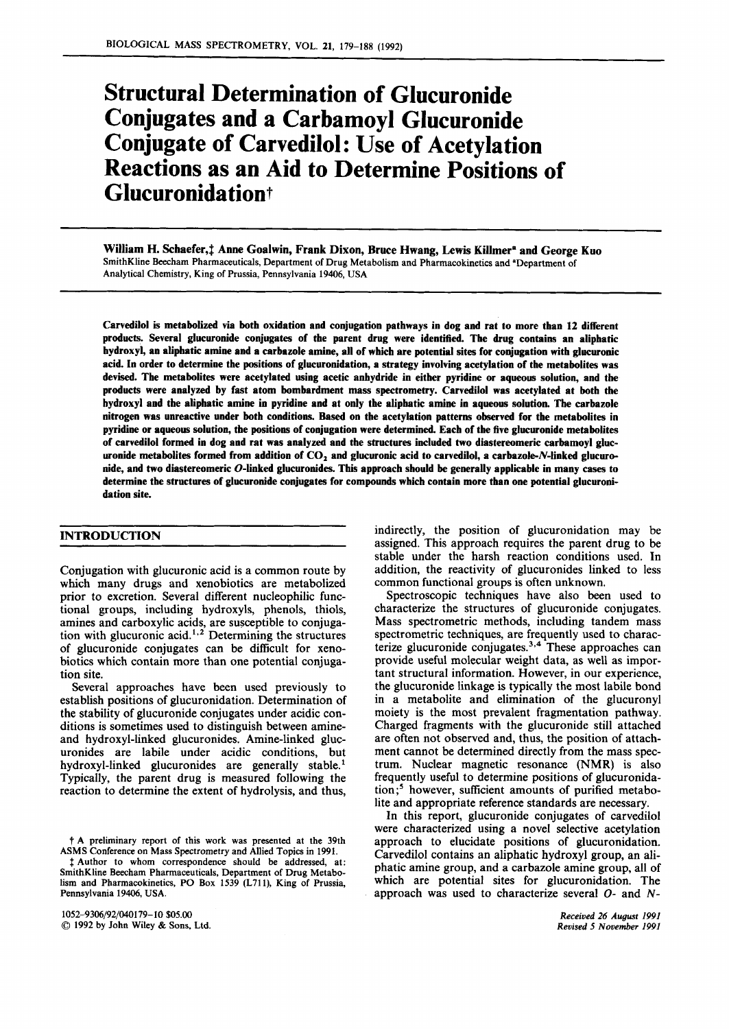# Structural Determination of Glucuronide Conjugates and a Carbamoyl Glucuronide Conjugate of Carvedilol: Use of Acetylation Reactions as an Aid to Determine Positions of Glucuronida tiont

William H. Schaefer, ‡ Anne Goalwin, Frank Dixon, Bruce Hwang, Lewis Killmer<sup>a</sup> and George Kuo SmithKline Beecham Pharmaceuticals, Department of Drug Metabolism and Pharmacokinetics and 'Department of Analytical Chemistry, King **of** Prussia, Pennsylvania **19406,** USA

Carvedilol is metabolized via both oxidation and conjugation pathways in dog and rat to more than **12** different products. Several glucuronide conjugates of the parent drug were identified. The drug contains an aliphatic hydroxyl, an aliphatic amine and a carbazole amine, all of which are potential sites for conjugation with glucuronic acid. In order to determine the positions of glucuronidation, a strategy involving acetylation of the metabolites was devised. The metabolites were acetylated using acetic anhydride in either pyridine or aqueous solution, and the products were analyzed by fast atom bombardment mass spectrometry. Carvedilol was acetylated at both the hydroxyl and the aliphatic amine in pyridine and at only the aliphatic amine in aqueous solution. The carbazole nitrogen was unreactive under both conditions. Based on the acetylation patterns observed for the metabolites in pyridine or aqueous solution, the positions of conjugation were determined. Each of the five glucuronide metabolites of carvedilol formed in dog and rat was analyzed and the structures included two diastereomeric carbamoyl glucuronide metabolites formed from addition of **C02** and glucuronic acid to carvedilol, a carbazole-N-linked glucuronide, and **two** diastereomeric 0-linked glucuronides. This approach should **be** generally applicable in many cases to determine the structures of glucuronide conjugates for compounds which contain more than one potential glucuronidation site.

# INTRODUCTION

Conjugation with glucuronic acid is a common route by which many drugs and xenobiotics are metabolized prior to excretion. Several different nucleophilic functional groups, including hydroxyls, phenols, thiols, amines and carboxylic acids, are susceptible to conjugation with glucuronic acid.<sup> $1,2$ </sup> Determining the structures of glucuronide conjugates can be difficult for xenobiotics which contain more than one potential conjugation site.

Several approaches have been used previously to establish positions of glucuronidation. Determination of the stability of glucuronide conjugates under acidic conditions is sometimes used to distinguish between amineand hydroxyl-linked glucuronides. Amine-linked glucuronides are labile under acidic conditions, but hydroxyl-linked glucuronides are generally stable.' Typically, the parent drug is measured following the reaction to determine the extent of hydrolysis, and thus,

t A preliminary report of this work was presented at the 39th ASMS Conference on Mass Spectrometry and Allied Topics in 1991.

**3** Author to whom correspondence should be addressed, at: SmithKline Beecham Pharmaceuticals, Department **of** Drug Metabolism and Pharmacokinetics, PO Box 1539 (L711), King **of** Prussia, Pennsylvania 19406, USA.

1052-9306/92/040179-10 *\$05.00 0* 1992 by John Wiley & **Sons,** Ltd. indirectly, the position of glucuronidation may be assigned. This approach requires the parent drug to be stable under the harsh reaction conditions used. In addition, the reactivity of glucuronides linked to **less**  common functional groups is often unknown.

Spectroscopic techniques have also been used to characterize the structures of glucuronide conjugates. Mass spectrometric methods, including tandem mass spectrometric techniques, are frequently used to characterize glucuronide conjugates.<sup>3,4</sup> These approaches can provide useful molecular weight data, as well as important structural information. However, in our experience, the glucuronide linkage is typically the most labile bond in a metabolite and elimination of the glucuronyl moiety is the most prevalent fragmentation pathway. Charged fragments with the glucuronide still attached are often not observed and, thus, the position of attachment cannot be determined directly from the mass spectrum. Nuclear magnetic resonance (NMR) **is** also frequently useful to determine positions of glucuronida $tion;$ <sup>5</sup> however, sufficient amounts of purified metabolite and appropriate reference standards are necessary.

In this report, glucuronide conjugates of carvedilol were characterized using a novel selective acetylation approach to elucidate positions of glucuronidation. Carvedilol contains an aliphatic hydroxyl group, an aliphatic amine group, and a carbazole amine group, all of which are potential sites for glucuronidation. The approach was used to characterize several *0-* and *N-*

> *Received 26* **August** *1991 Revised 5 November 1991*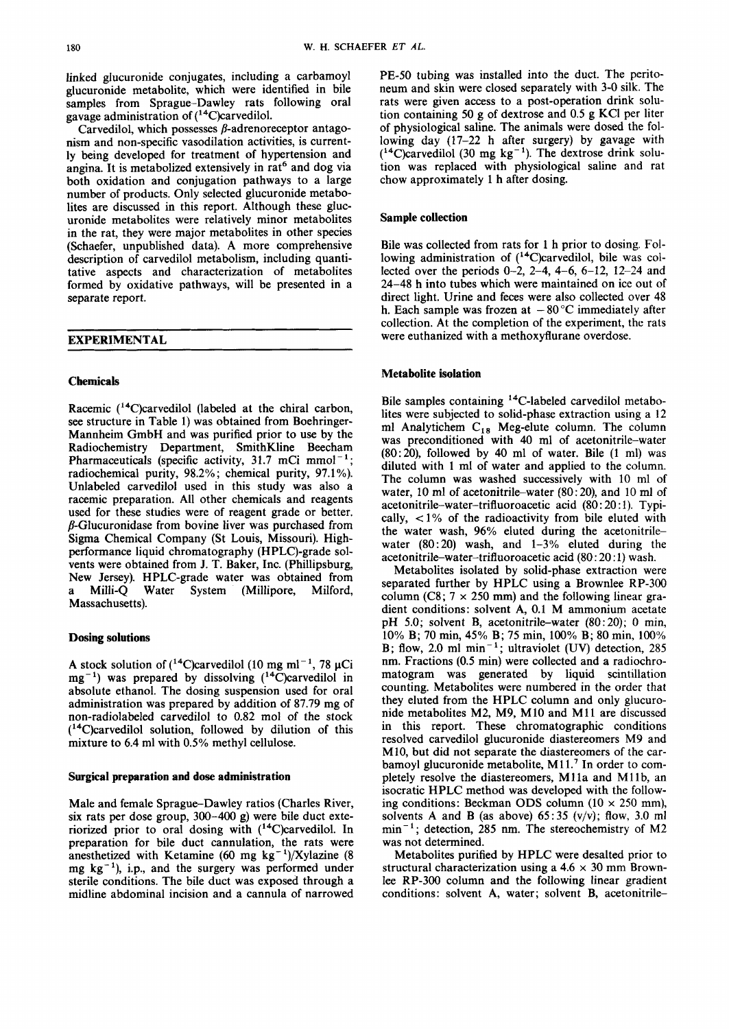linked glucuronide conjugates, including a carbamoyl glucuronide metabolite, which were identified in bile samples from Sprague-Dawley rats following oral gavage administration of (14C)carvedilol.

Carvedilol, which possesses  $\beta$ -adrenoreceptor antagonism and non-specific vasodilation activities, is currently being developed for treatment of hypertension and angina. It is metabolized extensively in rat<sup>6</sup> and dog via both oxidation and conjugation pathways to a large number of products. Only selected glucuronide metabolites are discussed in this report. Although these glucuronide metabolites were relatively minor metabolites in the rat, they were major metabolites in other species (Schaefer, unpublished data). A more comprehensive description of carvedilol metabolism, including quantitative aspects and characterization of metabolites formed by oxidative pathways, will be presented in a separate report.

| <b>EXPERIMENTAL</b> |  |  |  |  |
|---------------------|--|--|--|--|
|                     |  |  |  |  |

## **Chemicals**

Racemic  $(14)$ C)carvedilol (labeled at the chiral carbon, see structure in Table 1) was obtained from Boehringer-Mannheim GmbH and was purified prior to use by the Radiochemistry Department, SmithKline Beecham Pharmaceuticals (specific activity, 31.7 mCi mmol<sup>-1</sup>; Pharmaceuticals (specific activity, 31.7 mCi mmol<sup>-1</sup>; radiochemical purity, 98.2%; chemical purity, 97.1%). Unlabeled carvedilol used in this study was also a racemic preparation. All other chemicals and reagents used for these studies were of reagent grade or better. B-Glucuronidase from bovine liver was purchased from Sigma Chemical Company (St Louis, Missouri). Highperformance liquid chromatography (HPLC)-grade solvents were obtained from J. T. Baker, Inc. (Phillipsburg, New Jersey). HPLC-grade water was obtained from<br>a Milli-Q Water System (Millipore, Milford, Water System (Millipore, Milford, Massachusetts).

## **Dosing solutions**

A stock solution of  $(^{14}C)$ carvedilol (10 mg ml<sup>-1</sup>, 78 µCi  $mg^{-1}$ ) was prepared by dissolving  $(^{14}C)$ carvedilol in absolute ethanol. The dosing suspension used for oral administration was prepared by addition of 87.79 mg of non-radiolabeled carvedilol to 0.82 mol of the stock  $(^{14}C)$ carvedilol solution, followed by dilution of this mixture to 6.4 ml with 0.5% methyl cellulose.

#### **Surgical preparation and dose administration**

Male and female Sprague-Dawley ratios (Charles River, six rats per dose group, 300-400 g) were bile duct exteriorized prior to oral dosing with (<sup>14</sup>C)carvedilol. In preparation for bile duct cannulation, the rats were anesthetized with Ketamine (60 mg  $kg^{-1}$ )/Xylazine (8 mg  $kg^{-1}$ ), i.p., and the surgery was performed under sterile conditions. The bile duct was exposed through a midline abdominal incision and a cannula of narrowed PE-50 tubing was installed into the duct. The peritoneum and skin were closed separately with 3-0 silk. The rats were given access to a post-operation drink solution containing 50 g of dextrose and 0.5 g KCl per liter of physiological saline. The animals were dosed the following day (17-22 h after surgery) by gavage with  $(^{14}C)$ carvedilol (30 mg kg<sup>-1</sup>). The dextrose drink solution was replaced with physiological saline and rat chow approximately 1 h after dosing.

## **Sample collection**

Bile was collected from rats for 1 h prior to dosing. Following administration of  $(^{14}$ C)carvedilol, bile was collected over the periods 0-2, 2-4, **4-6,** 6-12, 12-24 and 24-48 h into tubes which were maintained on ice out of direct light. Urine and feces were also collected over 48 h. Each sample was frozen at  $-80^{\circ}$ C immediately after collection. At the completion of the experiment, the rats were euthanized with a methoxyfiurane overdose.

## **Metabolite isolation**

Bile samples containing <sup>14</sup>C-labeled carvedilol metabolites were subjected to solid-phase extraction using a 12 ml Analytichem C<sub>18</sub> Meg-elute column. The column was preconditioned with **40** ml of acetonitrile-water (80: 20), followed by **40** ml of water. Bile (1 ml) was diluted with 1 ml of water and applied to the column. The column was washed successively with 10 ml of water, 10 **ml** of acetonitrile-water (80: 20), and 10 ml of **acetonitrile-water-trifluoroacetic** acid (80 : 20 : 1). Typically, *c* 1% of the radioactivity from bile eluted with the water wash, 96% eluted during the acetonitrilewater  $(80:20)$  wash, and  $1-3\%$  eluted during the **acetonitrile-water-trifluoroacetic** acid (80 : 20 : 1) wash.

Metabolites isolated by solid-phase extraction were separated further by HPLC using a Brownlee RP-300 column (C8;  $7 \times 250$  mm) and the following linear gradient conditions: solvent A, 0.1 M ammonium acetate pH 5.0; solvent B, acetonitrile-water (80: 20); 0 min, 10% B; 70 min, 45% B; 75 min, 100% B; 80 min, 100% B; flow, 2.0 ml min<sup>-1</sup>; ultraviolet (UV) detection, 285 nm. Fractions **(0.5** min) were collected and a radiochromatogram was generated by liquid scintillation counting. Metabolites were numbered in the order that they eluted from the HPLC column and only glucuronide metabolites M2, M9, M10 and M11 are discussed in this report. These chromatographic conditions resolved carvedilol glucuronide diastereomers M9 and M10, but did not separate the diastereomers of the carbamoyl glucuronide metabolite,  $M11<sup>7</sup>$  In order to completely resolve the diastereomers, Mlla and Mllb, an isocratic HPLC method was developed with the following conditions: Beckman ODS column (10 **x** 250 mm), solvents A and B (as above) **65:35** (v/v); flow, 3.0 ml  $min^{-1}$ ; detection, 285 nm. The stereochemistry of M2 was not determined.

Metabolites purified by HPLC were desalted prior to structural characterization using a  $4.6 \times 30$  mm Brownlee RP-300 column and the following linear gradient conditions: solvent A, water; solvent B, acetonitrile-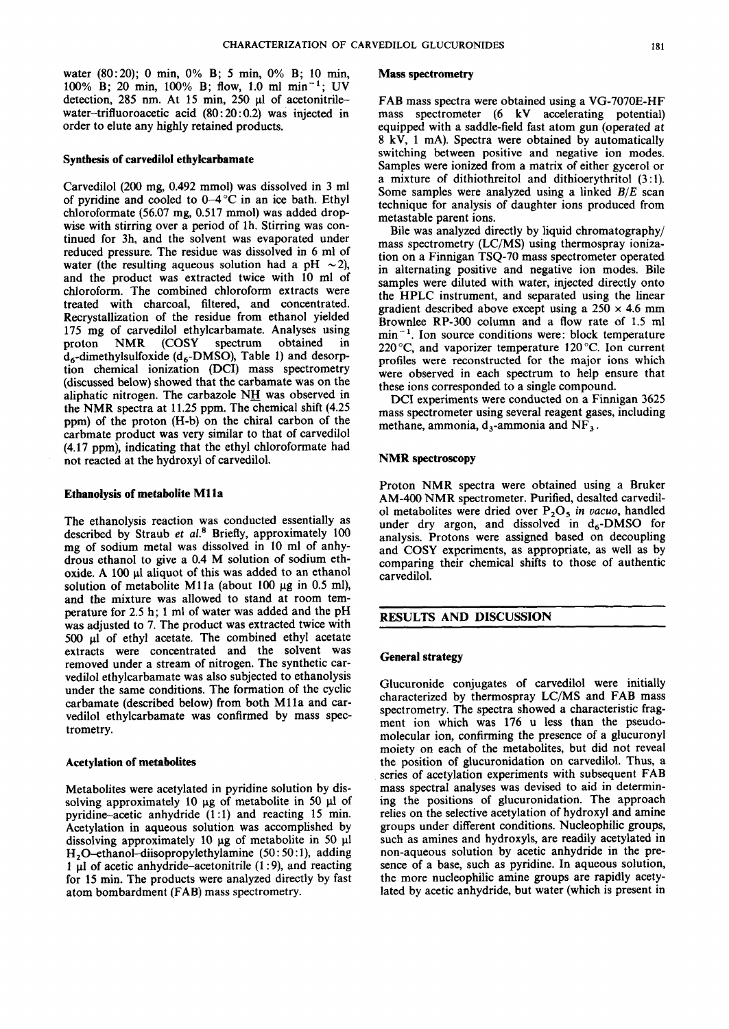water (80:20); 0 min, 0% B; *5* min, 0% B; 10 min, 100% B; 20 min, 100% B; flow, 1.0 ml min-'; UV detection, 285 nm. At 15 min, 250 µl of acetonitrilewater-trifluoroacetic acid  $(80:20:0.2)$  was injected in order to elute any highly retained products.

#### **Synthesis of carvedilol ethylcarbamate**

Carvedilol (200 mg, 0.492 mmol) was dissolved in 3 ml of pyridine and cooled to  $0-4$  °C in an ice bath. Ethyl chloroformate (56.07 mg, 0.517 mmol) was added dropwise with stirring over a period of lh. Stirring was continued for 3h, and the solvent was evaporated under reduced pressure. The residue was dissolved in 6 ml of water (the resulting aqueous solution had a pH  $\sim$ 2), and the product was extracted twice with 10 ml of chloroform. The combined chloroform extracts were treated with charcoal, filtered, and concentrated. Recrystallization of the residue from ethanol yielded 175 mg of carvedilol ethylcarbamate. Analyses using proton NMR (COSY spectrum obtained in  $d_6$ -dimethylsulfoxide ( $d_6$ -DMSO), Table 1) and desorption chemical ionization (DCI) mass spectrometry (discussed below) showed that the carbamate was on the aliphatic nitrogen. The carbazole  $N_H$  was observed in the NMR spectra at 11.25 ppm. The chemical shift (4.25 ppm) of the proton (H-b) on the chiral carbon of the carbmate product was very similar to that of carvedilol (4.17 ppm), indicating that the ethyl chloroformate had not reacted at the hydroxyl of carvedilol.

#### **Ethanolysis of metabolite Mlla**

The ethanolysis reaction was conducted essentially as described by Straub **et a1.\*** Briefly, approximately 100 mg of sodium metal was dissolved in 10 ml of anhydrous ethanol to give a 0.4 M solution of sodium ethoxide. A 100 **pl** aliquot of this was added to an ethanol solution of metabolite M11a (about 100  $\mu$ g in 0.5 ml), and the mixture was allowed to stand at room temperature for 2.5 h; 1 ml of water was added and the pH was adjusted to 7. The product was extracted twice with 500 ul of ethyl acetate. The combined ethyl acetate extracts were concentrated and the solvent was removed under a stream of nitrogen. The synthetic carvedilol ethylcarbamate was also subjected to ethanolysis under the same conditions. The formation of the cyclic carbamate (described below) from both M11a and carvedilol ethylcarbamate was confirmed by mass spectrometry.

## **Acetylation of metabolites**

Metabolites were acetylated in pyridine solution by dissolving approximately 10  $\mu$ g of metabolite in 50  $\mu$ l of pyridine-acetic anhydride  $(1:1)$  and reacting 15 min. Acetylation in aqueous solution was accomplished by dissolving approximately 10 pg of metabolite in *50* **pl H,O-ethanol-diisopropylethylamine (50** : 50 : l), adding 1  $\mu$ l of acetic anhydride-acetonitrile (1:9), and reacting for **15** min. The products were analyzed directly by fast atom bombardment (FAB) mass spectrometry.

#### **Mass spectrometry**

FAB mass spectra were obtained using a VG-7070E-HF mass spectrometer (6 kV accelerating potential) equipped with a saddle-field fast atom gun (operated at 8 kV, 1 mA). Spectra were obtained by automatically switching between positive and negative ion modes. Samples were ionized from a matrix of either gycerol or a mixture of dithiothreitol and dithioerythritol  $(3:1)$ . Some samples were analyzed using a linked  $B/E$  scan technique for analysis of daughter ions produced from metastable parent ions.

Bile was analyzed directly by liquid chromatography/ mass spectrometry (LC/MS) using thermospray ionization on a Finnigan TSQ-70 mass spectrometer operated in alternating positive and negative ion modes. Bile samples were diluted with water, injected directly onto the HPLC instrument, and separated using the linear gradient described above except using a  $250 \times 4.6$  mm Brownlee RP-300 column and a flow rate of 1.5 ml  $min<sup>-1</sup>$ . Ion source conditions were: block temperature 220 °C, and vaporizer temperature 120 °C. Ion current profiles were reconstructed for the major ions which were observed in each spectrum to help ensure that these ions corresponded to a single compound.

DCI experiments were conducted on a Finnigan 3625 mass spectrometer using several reagent gases, including methane, ammonia,  $d_3$ -ammonia and NF<sub>3</sub>.

## **NMR spectroscopy**

Proton NMR spectra were obtained using a Bruker AM-400 NMR spectrometer. Purified, desalted carvedil-01 metabolites were dried over P,05 *in uacuo,* handled under dry argon, and dissolved in  $d_6$ -DMSO for analysis. Protons were assigned based on decoupling and COSY experiments, as appropriate, as well as by comparing their chemical shifts to those of authentic carvedilol.

#### **RESULTS AND DISCUSSION**

#### **General strategy**

Glucuronide conjugates of carvedilol were initially characterized by thermospray LC/MS and FAB mass spectrometry. The spectra showed a characteristic fragment ion which was 176 u less than the pseudomolecular ion, confirming the presence of a glucuronyl moiety on each of the metabolites, but did not reveal the position of glucuronidation on carvedilol. Thus, a series of acetylation experiments with subsequent FAB mass spectral analyses was devised to aid in determining the positions of glucuronidation. The approach relies on the selective acetylation of hydroxyl and amine groups under different conditions. Nucleophilic groups, such as amines and hydroxyls, are readily acetylated in non-aqueous solution by acetic anhydride in the presence of a base, such as pyridine. In aqueous solution, the more nucleophilic amine groups are rapidly acetylated by acetic anhydride, but water (which is present in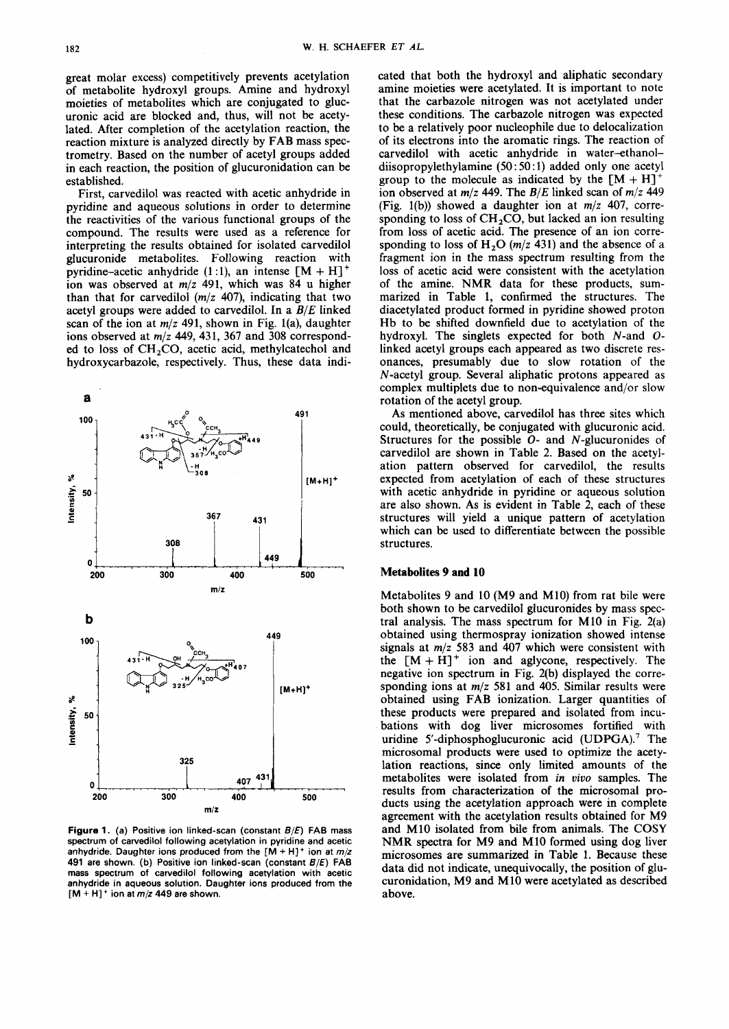great molar excess) competitively prevents acetylation of metabolite hydroxyl groups. Amine and hydroxyl moieties of metabolites which are conjugated to glucuronic acid are blocked and, thus, will not be acetylated. After completion of the acetylation reaction, the reaction mixture is analyzed directly by FAB mass spectrometry. Based on the number of acetyl groups added in each reaction, the position of glucuronidation can be established.

First, carvedilol was reacted with acetic anhydride in pyridine and aqueous solutions in order to determine the reactivities of the various functional groups of the compound. The results were used as a reference for interpreting the results obtained for isolated carvedilol glucuronide metabolites. Following reaction with pyridine-acetic anhydride (1:1), an intense  $[M + H]$ <sup>+</sup> ion was observed at *m/z* 491, which was 84 u higher than that for carvedilol *(m/z* 407), indicating that two acetyl groups were added to carvedilol. In a *B/E* linked scan of the ion at *m/z* 491, shown in Fig. l(a), daughter ions observed at *m*/z 449, 431, 367 and 308 corresponded to loss of  $CH<sub>2</sub>CO$ , acetic acid, methylcatechol and hydroxycarbazole, respectively. Thus, these data indi-



**Figure 1. (a) Positive ion linked-scan (constant 6/€) FAB mass spectrum of carvedilol following acetylation in pyridine and acetic**  anhydride. Daughter ions produced from the  $[M + H]$ <sup>+</sup> ion at  $m/z$ **491 are shown. (b) Positive ion linked-scan (constant 6/€) FAB mass spectrum of carvedilol following acetylation with acetic anhydride in aqueous solution. Daughter ions produced from the**   $[M + H]$ <sup>+</sup> ion at  $m/z$  449 are shown.

cated that both the hydroxyl and aliphatic secondary amine moieties were acetylated. It is important to note that the carbazole nitrogen was not acetylated under these conditions. The carbazole nitrogen was expected to be a relatively poor nucleophile due to delocalization of its electrons into the aromatic rings. The reaction of carvedilol with acetic anhydride in water-ethanoldiisopropylethylamine *(50* : *50* : 1) added only one acetyl group to the molecule as indicated by the  $[M + H]$ ion observed at *m/z* 449. The *B/E* linked scan of *m/z* 449 (Fig. l(b)) showed a daughter ion at *m/z* 407, corresponding to loss of  $CH<sub>2</sub>CO$ , but lacked an ion resulting from loss of acetic acid. The presence of an ion corresponding to loss of  $H_2O$  ( $m/z$  431) and the absence of a fragment ion in the mass spectrum resulting from the loss of acetic acid were consistent with the acetylation of the amine. NMR data for these products, summarized in Table **1,** confirmed the structures. The diacetylated product formed in pyridine showed proton Hb to be shifted downfield due to acetylation of the hydroxyl. The singlets expected for both N-and *0*  linked acetyl groups each appeared as two discrete resonances, presumably due to slow rotation of the N-acetyl group. Several aliphatic protons appeared as complex multiplets due to non-equivalence and/or slow rotation of the acetyl group.

As mentioned above, carvedilol has three sites which could, theoretically, be conjugated with glucuronic acid. Structures for the possible *0-* and N-glucuronides of carvedilol are shown in Table 2. Based on the acetylation pattern observed for carvedilol, the results expected from acetylation of each of these structures with acetic anhydride in pyridine or aqueous solution are also shown. As is evident in Table 2, each of these structures will yield a unique pattern of acetylation which can be used to differentiate between the possible structures.

## **Metabolites 9 and 10**

Metabolites 9 and 10 (M9 and M10) from rat bile were both shown to be carvedilol glucuronides by mass spectral analysis. The mass spectrum for M10 in Fig. 2(a) obtained using thermospray ionization showed intense signals at *m/z* 583 and 407 which were consistent with the  $[M + H]$ <sup>+</sup> ion and aglycone, respectively. The negative ion spectrum in Fig. 2(b) displayed the corresponding ions at *m/z* 581 and 405. Similar results were obtained using FAB ionization. Larger quantities of these products were prepared and isolated from incubations with dog liver microsomes fortified with uridine 5'-diphosphoglucuronic acid (UDPGA).' The microsomal products were used to optimize the acetylation reactions, since only limited amounts of the metabolites were isolated from in *uiuo* samples. The results from characterization of the microsomal products using the acetylation approach were in complete agreement with the acetylation results obtained for M9 and M10 isolated from bile from animals. The COSY NMR spectra for M9 and M10 formed using dog liver microsomes are summarized in Table **1.** Because these data did not indicate, unequivocally, the position of glucuronidation, M9 and M10 were acetylated as described above.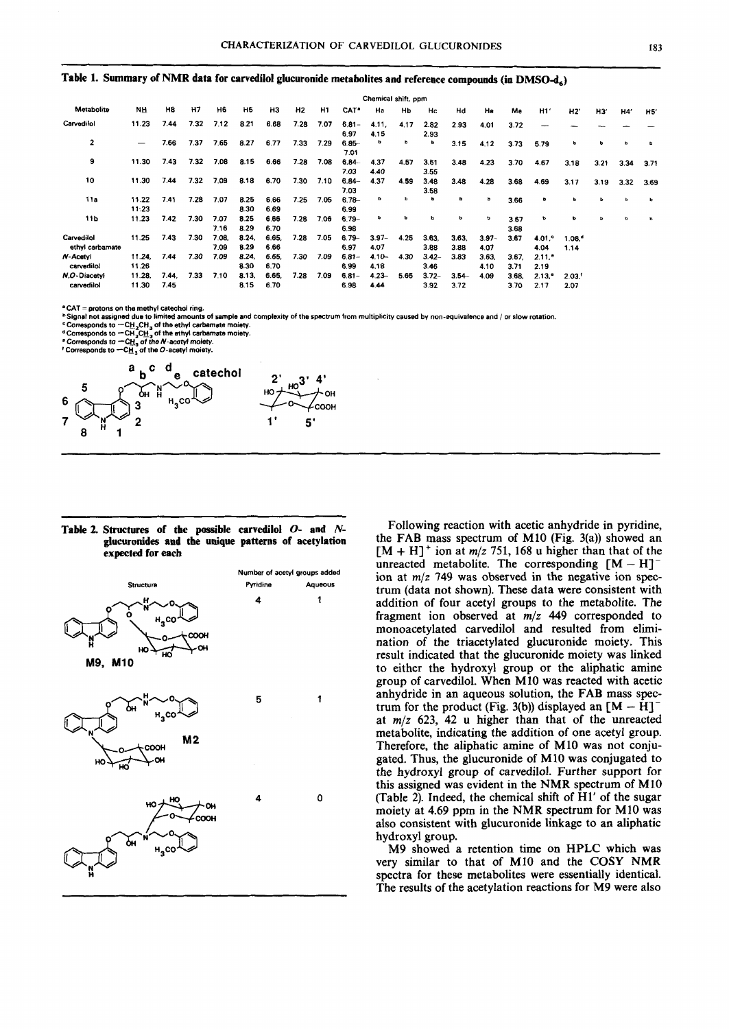#### Table 1. Summary of NMR data for carvedilol glucuronide metabolites and reference compounds (in DMSO-d<sub>4</sub>)

|                               |                          | Chemical shift, ppm |      |               |                |               |      |      |                  |                  |           |                  |                  |                  |               |                              |                              |      |      |      |  |
|-------------------------------|--------------------------|---------------------|------|---------------|----------------|---------------|------|------|------------------|------------------|-----------|------------------|------------------|------------------|---------------|------------------------------|------------------------------|------|------|------|--|
| Metabolite                    | NH                       | H8                  | H7   | H6            | H <sub>5</sub> | HЗ            | H2   | H1   | CAT"             | Ha               | <b>Hb</b> | Hc               | Hd               | He               | Me            | H1'                          | H2'                          | H3'  | H4'  | H5'  |  |
| Carvedilol                    | 11.23                    | 7.44                | 7.32 | 7.12          | 8.21           | 6.68          | 7.28 | 7.07 | $6.81 -$<br>6.97 | 4.11,<br>4.15    | 4.17      | 2.82<br>2.93     | 2.93             | 4.01             | 3.72          |                              |                              |      |      |      |  |
| 2                             | $\overline{\phantom{m}}$ | 7.66                | 7.37 | 7.65          | 8.27           | 6.77          | 7.33 | 7.29 | $6.85 -$<br>7.01 | b                | b         | ь                | 3.15             | 4.12             | 3.73          | 5.79                         | ь                            | ь    | ь    | ъ.   |  |
| 9                             | 11.30                    | 7.43                | 7.32 | 7.08          | 8.15           | 6.66          | 7.28 | 7.08 | $6.84 -$<br>7.03 | 4.37<br>4.40     | 4.57      | 3.51<br>3.55     | 3.48             | 4.23             | 3.70          | 4.67                         | 3.18                         | 3.21 | 3.34 | 3.71 |  |
| 10                            | 11.30                    | 7.44                | 7.32 | 7.09          | 8.18           | 6.70          | 7.30 | 7.10 | $6.84 -$<br>7.03 | 4.37             | 4.59      | 3.48<br>3.58     | 3.48             | 4.28             | 3.68          | 4.69                         | 3.17                         | 3.19 | 3.32 | 3.69 |  |
| 11a                           | 11.22<br>11.23           | 7.41                | 7.28 | 7.07          | 8.25<br>8.30   | 6.66<br>6.69  | 7.25 | 7.05 | $6.78 -$<br>6.99 | b                | ħ         | ь                | b                | ь                | 3.66          | b                            | ь                            | ь    | ь    | Þ    |  |
| 11 <sub>b</sub>               | 11.23                    | 7.42                | 7.30 | 7.07<br>7.16  | 8.25<br>8.29   | 6.66<br>6.70  | 7.28 | 7.06 | $6.79 -$<br>6.98 | ъ                | ь         | ь                | b                | ۰                | 3.67<br>3.68  | P                            | ь                            | ь    | b    | ъ    |  |
| Carvedilol<br>ethyl carbamate | 11.25                    | 7.43                | 7.30 | 7.08.<br>7.09 | 8.24.<br>8.29  | 6.65.<br>6.66 | 7.28 | 7.05 | $6.79 -$<br>6.97 | $3.97 -$<br>4.07 | 4.25      | 3.63.<br>3.88    | 3.63.<br>3.88    | $3.97 -$<br>4.07 | 3.67          | $4.01$ .<br>4.04             | $1.08.$ <sup>4</sup><br>1.14 |      |      |      |  |
| N-Acetyl<br>carvedilol        | 11.24,<br>11.26          | 7.44                | 7.30 | 7.09          | 8.24,<br>8.30  | 6.65,<br>6.70 | 7.30 | 7.09 | $6.81 -$<br>6.99 | $4.10 -$<br>4.18 | 4.30      | $3.42-$<br>3.46  | 3.83             | 3.63.<br>4.10    | 3.67.<br>3.71 | $2.11.$ <sup>*</sup><br>2.19 |                              |      |      |      |  |
| N.O-Diacetvl<br>carvedilol    | 11.28.<br>11.30          | 7.44.<br>7.45       | 7.33 | 7.10          | 8.13,<br>8.15  | 6.65,<br>6.70 | 7.28 | 7.09 | $6.81 -$<br>6.98 | $4.23 -$<br>4.44 | 5.65      | $3.72 -$<br>3.92 | $3.54 -$<br>3.72 | 4.09             | 3.68.<br>3.70 | $2.13.$ <sup>*</sup><br>2.17 | 2.03.<br>2.07                |      |      |      |  |

**.CAT** = **protons on the methyl catechol ring.** 

bignal not assigned due to limited amounts of sample and complexity of the spectrum from multiplicity caused by non-equivalence and / or slow rotation.

° Corresponds to 一C<u>H <sub>2</sub></u>CH <sub>3</sub> of the ethyl carbamate moiety.<br>ª Corresponds to 一CH <sub>2</sub>CH <sub>3</sub> of the ethyl carbamate moiety.<br>ª Corresponds to 一C<u>H <sub>3</sub></u> of the *N* -acetyl moiety.<br>′ Corresponds to 一C<u>H</u> <sub>3</sub> of the *O* -ac



#### **Table 2. Structures of the possible carvedilol** *0-* **and** *N***glucuronides and the unique patterns of acetylation expected for each**



Following reaction with acetic anhydride in pyridine, the FAB mass spectrum of M10 (Fig. **3(a))** showed an  $[M + H]$ <sup>+</sup> ion at  $m/z$  751, 168 u higher than that of the unreacted metabolite. The corresponding  $[M - H]$ <sup>-</sup> ion at **m/z** 749 was observed in the negative ion spectrum (data not shown). These data were consistent with addition of four acetyi groups to the metabolite. The fragment ion observed at  $m/z$  449 corresponded to monoacetylated carvedilol and resulted from elimination of the triacetylated glucuronide moiety. This result indicated that the glucuronide moiety was linked to either the hydroxyl group or the aliphatic amine group of carvedilol. When M10 was reacted with acetic anhydride in an aqueous solution, the FAB mass spec-trum for the product (Fig. 3(b)) displayed an [M - **HI**at *mJz* 623, 42 **u** higher than that of the unreacted metabolite, indicating the addition of one acetyl group. Therefore, the aliphatic amine of **M10** was not conjugated. Thus, the glucuronide of M10 was conjugated to the hydroxyl group of carvedilol. Further support for this assigned was evident in the NMR spectrum of MlO (Table 2). Indeed, the chemical shift of H1' of the sugar moiety at 4.69 ppm in the NMR spectrum for M10 was also consistent with glucuronide linkage to an aliphatic hydroxyl group.

M9 showed a retention time on HPLC which was very similar to that of **M10** and the COSY NMR spectra for these metabolites were essentially identical. The results of the acetylation reactions for M9 were also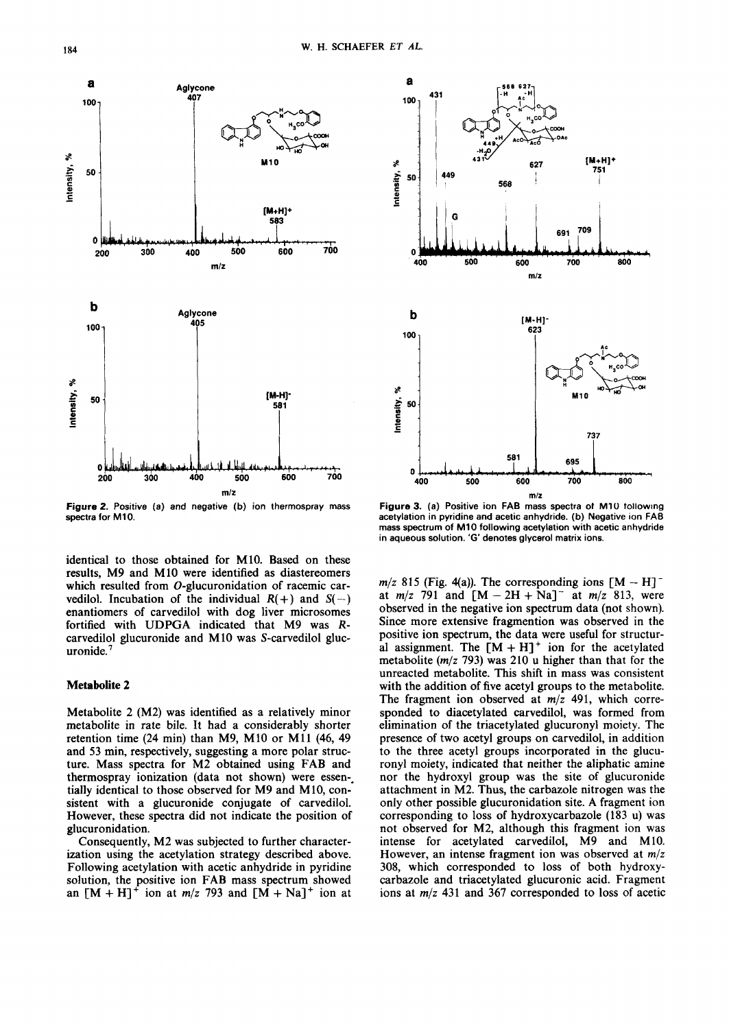

**Figure2. Positive (a) and negative (b) ion thermospray mass spectra for M10.** 

identical to those obtained for M10. Based on these results, M9 and M10 were identified as diastereomers which resulted from O-glucuronidation of racemic carvedilol. Incubation of the individual  $R(+)$  and  $S(-)$ enantiomers of carvedilol with dog liver microsomes fortified with UDPGA indicated that M9 was Rfortified with ODPOA indicated that M9 was K-<br>carvedilol glucuronide and M10 was S-carvedilol gluc-<br>uronide.<sup>7</sup>

## **Metabolite 2**

Metabolite 2 (M2) was identified as a relatively minor metabolite in rate bile. It had a considerably shorter retention time (24 min) than M9, M10 or M11 **(46,** 49 and 53 min, respectively, suggesting a more polar structure. Mass spectra for M2 obtained using FAB and thermospray ionization (data not shown) were essen; tially identical to those observed for M9 and M10, consistent with a glucuronide conjugate of carvedilol. However, these spectra did not indicate the position of glucuronidation.

Consequently, M2 was subjected to further characterization using the acetylation strategy described above. Following acetylation with acetic anhydride in pyridine solution, the positive ion FAB mass spectrum showed an  $[M + H]^+$  ion at  $m/z$  793 and  $[M + Na]^+$  ion at



**Figure 3. (a) Positive ion FAB mass spectra of M1U tollowtng acetylation in pyridine and acetic anhydride. (b) Negative ion FAB mass spectrum of M10 following acetylation with acetic anhydride in aqueous solution. 'G' denotes glycerol matrix ions.** 

 $m/z$  815 (Fig. 4(a)). The corresponding ions  $[M - H]$ <sup>-</sup> at  $m/z$  791 and  $[M - 2H + Na]$ <sup>-</sup> at  $m/z$  813, were observed in the negative ion spectrum data (not shown). Since more extensive fragmention was observed in the positive ion spectrum, the data were useful for structural assignment. The  $[M + H]$ <sup>+</sup> ion for the acetylated metabolite *(m/z* 793) was 210 u higher than that for the unreacted metabolite. This shift in mass was consistent with the addition of five acetyl groups to the metabolite. The fragment ion observed at *m/z* 491, which corresponded to diacetylated carvedilol, was formed from elimination of the triacetylated glucuronyl moiety. The presence of two acetyl groups on carvedilol, in addition to the three acetyl groups incorporated in the glucuronyl moiety, indicated that neither the aliphatic amine nor the hydroxyl group was the site of glucuronide attachment in M2. Thus, the carbazole nitrogen was the only other possible glucuronidation site. A fragment ion corresponding to loss of hydroxycarbazole (183 u) was not observed for M2, although this fragment ion was intense for acetylated carvedilol, M9 and M10. However, an intense fragment ion was observed at *m/z*  308, which corresponded to loss of both hydroxycarbazole and triacetylated glucuronic acid. Fragment ions at *m/z* 431 and 367 corresponded to loss of acetic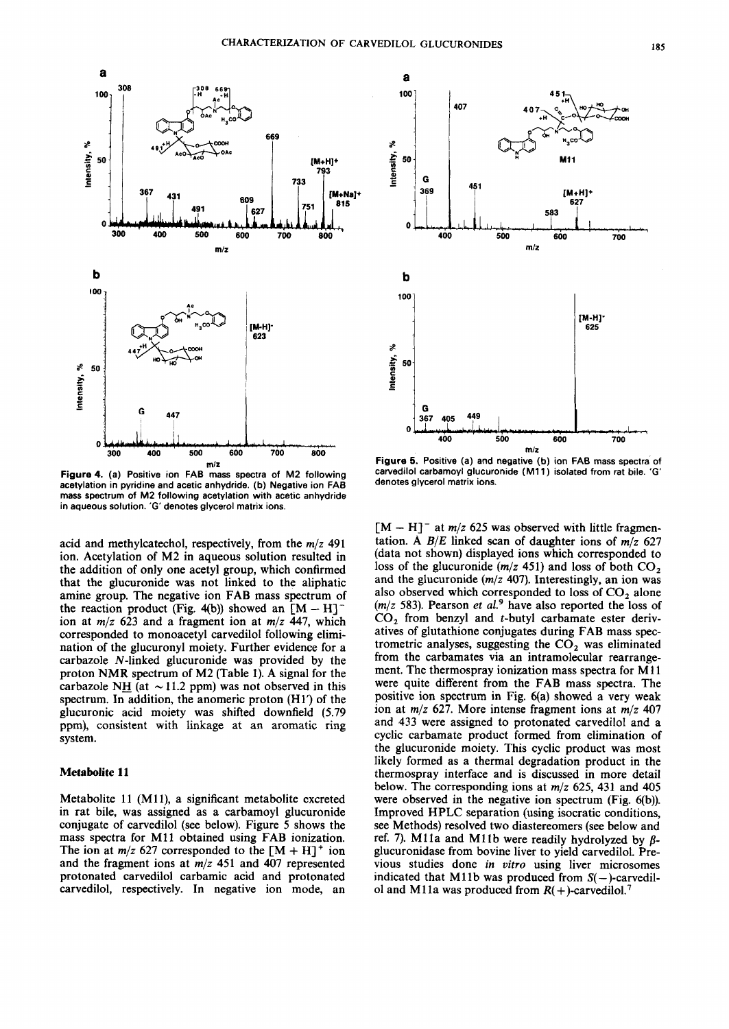

**Figure 4. (a) Positive ion FA6 mass spectra of M2 following acetylation in pyridine and acetic anhydride. (b) Negative ion FAB mass spectrum of M2 following acetylation with acetic anhydride in aqueous solution. 'G' denotes glycerol matrix ions.** 

acid and methylcatechol, respectively, from the *m/z* 491 ion. Acetylation of M2 in aqueous solution resulted in the addition of only one acetyl group, which confirmed that the glucuronide was not linked to the aliphatic amine group. The negative ion FAB mass spectrum of the reaction product (Fig. 4(b)) showed an  $[M - H]$ <sup>-</sup> ion at *m/z* 623 and a fragment ion at *m/z* 447, which corresponded to monoacetyl carvedilol following elimination of the glucuronyl moiety. Further evidence for a carbazole N-linked glucuronide was provided by the proton **NMR** spectrum of M2 (Table 1). A signal for the carbazole NH (at  $\sim$  11.2 ppm) was not observed in this spectrum. In addition, the anomeric proton (Hl') of the glucuronic acid moiety was shifted downfield (5.79 ppm), consistent with linkage at an aromatic ring system.

## **Metabolite 11**

Metabolite 11 (M11), a significant metabolite excreted in rat bile, was assigned as a carbamoyl glucuronide conjugate of carvedilol (see below). Figure *5* shows the mass spectra for M11 obtained using FAB ionization. The ion at  $m/z$  627 corresponded to the  $[M + H]$ <sup>+</sup> ion and the fragment ions at *m/z* 451 and 407 represented protonated carvedilol carbamic acid and protonated carvedilol, respectively. In negative ion mode, an



**Figure 5. Positive (a) and negative (b) ion FAB mass spectra of carvedilol carbamoyl glucuronide (Mll) isolated from rat bile. 'G' denotes glycerol matrix ions.** 

 $[M - H]$ <sup>-</sup> at *m*/z 625 was observed with little fragmentation. A *B/E* linked scan of daughter ions of *m/z* 627 (data not shown) displayed ions which corresponded to loss of the glucuronide *(m/z* 451) and loss of both CO, and the glucuronide *(m/z* 407). Interestingly, an ion was also observed which corresponded to loss of  $CO<sub>2</sub>$  alone *(m/z* 583). Pearson *et aL9* have also reported the loss of CO, from benzyl and t-butyl carbamate ester derivatives of glutathione conjugates during FAB mass spectrometric analyses, suggesting the *CO,* was eliminated from the carbamates via an intramolecular rearrangement. The thermospray ionization mass spectra for M11 were quite different from the FAB mass spectra. The positive ion spectrum in Fig.  $6(a)$  showed a very weak ion at *m/z* 627. More intense fragment ions at *m/z* 407 and 433 were assigned to protonated carvedilol and a cyclic carbamate product formed from elimination of the glucuronide moiety. This cyclic product was most likely formed as a thermal degradation product in the thermospray interface and is discussed in more detail below. The corresponding ions at *m/z* 625, 431 and 405 were observed in the negative ion spectrum (Fig. 6(b)). Improved HPLC separation (using isocratic conditions, see Methods) resolved two diastereomers (see below and ref. 7). M11a and M11b were readily hydrolyzed by  $\beta$ glucuronidase from bovine liver to yield carvedilol. Previous studies done in *uitro* using liver microsomes indicated that M11b was produced from  $S(-)$ -carvedilol and M11a was produced from  $R(+)$ -carvedilol.<sup>7</sup>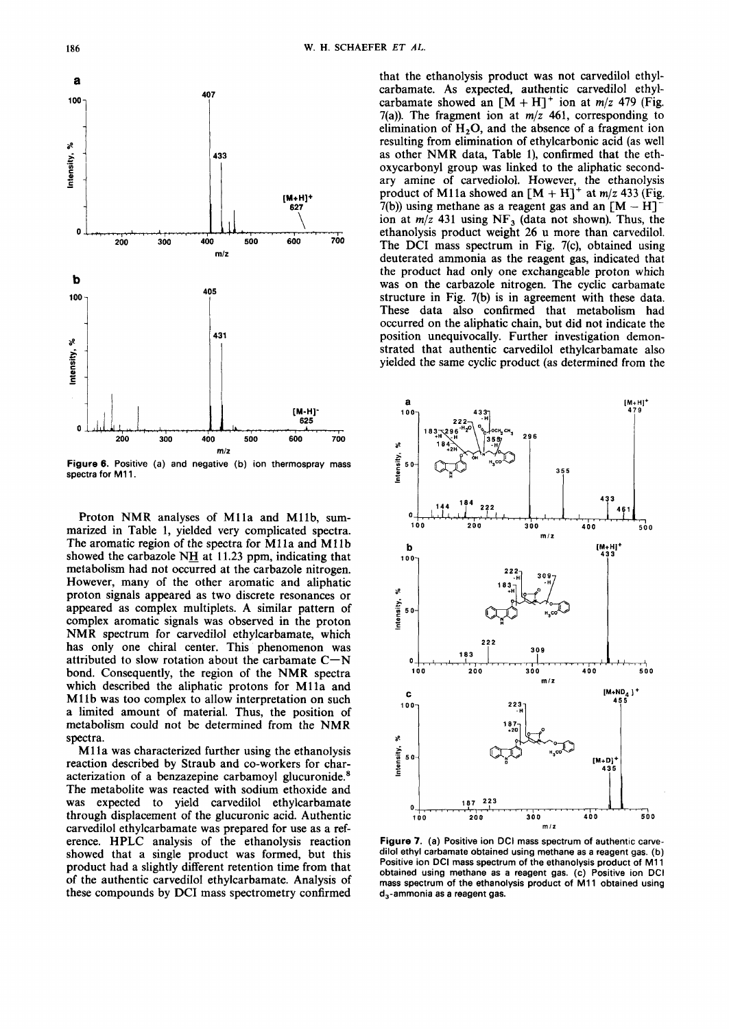

**Figure 6. Positive (a) and negative (b) ion thermospray mass**  spectra for M11.

Proton NMR analyses of Mlla and Mllb, summarized in Table 1, yielded very complicated spectra. The aromatic region of the spectra for M11a and M11b showed the carbazole NH at 11.23 ppm, indicating that metabolism had not occurred at the carbazole nitrogen. However, many of the other aromatic and aliphatic proton signals appeared as two discrete resonances or appeared as complex multiplets. A similar pattern of complex aromatic signals was observed in the proton NMR spectrum for carvedilol ethylcarbamate, which has only one chiral center. This phenomenon was attributed to slow rotation about the carbamate  $C-N$ bond. Consequently, the region of the NMR spectra which described the aliphatic protons for M11a and M11b was too complex to allow interpretation on such a limited amount of material. Thus, the position of metabolism could not be determined from the NMR spectra.

M<sub>11</sub> a was characterized further using the ethanolysis reaction described by Straub and co-workers for characterization of a benzazepine carbamoyl glucuronide.<sup>8</sup> The metabolite was reacted with sodium ethoxide and was expected to yield carvedilol ethylcarbamate through displacement of the glucuronic acid. Authentic carvedilol ethylcarbamate was prepared for use as a reference. HPLC analysis of the ethanolysis reaction showed that a single product was formed, but this product had a slightly different retention time from that of the authentic carvedilol ethylcarbamate. Analysis of these compounds by DCI mass spectrometry confirmed

that the ethanolysis product was not carvedilol ethylcarbamate. As expected, authentic carvedilol ethylcarbamate showed an  $[M + H]$ <sup>+</sup> ion at  $m/z$  479 (Fig. 7(a)). The fragment ion at *m/z* 461, corresponding to elimination of  $H<sub>2</sub>O$ , and the absence of a fragment ion resulting from elimination of ethylcarbonic acid (as well as other NMR data, Table l), confirmed that the ethoxycarbonyl group was linked to the aliphatic secondary amine of carvediolol. However, the ethanolysis product of M11a showed an  $[M + H]^+$  at  $m/z$  433 (Fig. 7(b)) using methane as a reagent gas and an  $[M - H]^+$ ion at *m/z* 431 using NF, (data not shown). Thus, the ethanolysis product weight 26 u more than carvedilol. The DCI mass spectrum in Fig. 7(c), obtained using deuterated ammonia as the reagent gas, indicated that the product had only one exchangeable proton which was on the carbazole nitrogen. The cyclic carbamate structure in Fig. 7(b) is in agreement with these data. These data also confirmed that metabolism had occurred on the aliphatic chain, but did not indicate the position unequivocally. Further investigation demonstrated that authentic carvedilol ethylcarbamate also yielded the same cyclic product (as determined from the



**Figure 7. (a) Positive ion DCI mass spectrum of authentic carvedilol ethyl carbamate obtained using methane as a reagent gas. (b) Positive ion DCI mass spectrum of the ethanolysis product of M11 obtained using methane as a reagent gas. (c) Positive ion DCI mass spectrum of the ethanolysis product of M11 obtained using d,-ammonia as a reagent gas.**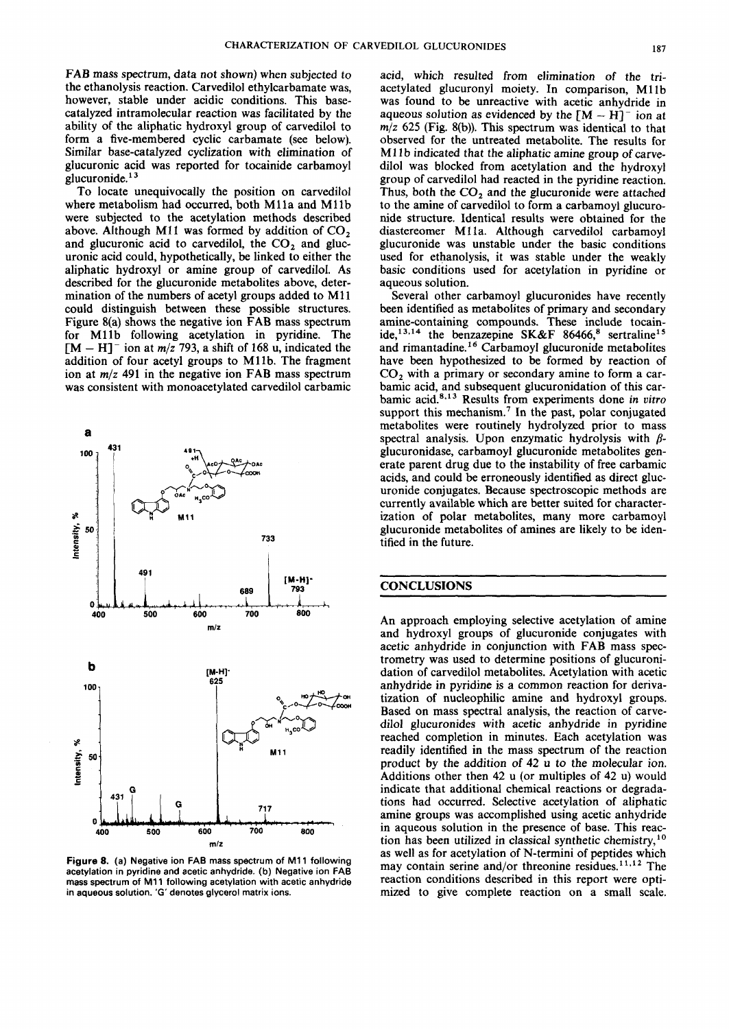FAB mass spectrum, data not shown) when subjected to the ethanolysis reaction. Carvedilol ethylcarbamate was, however, stable under acidic conditions. This basecatalyzed intramolecular reaction was facilitated by the ability of the aliphatic hydroxyl group of carvedilol to form a five-membered cyclic carbamate (see below). Similar base-catalyzed cyclization with elimination of glucuronic acid was reported for tocainide carbamoyl<br>glucuronide.<sup>13</sup>

To locate unequivocally the position on carvedilol where metabolism had occurred, both M11a and M11b were subjected to the acetylation methods described above. Although **M11** was formed by addition of CO, and glucuronic acid to carvedilol, the  $CO<sub>2</sub>$  and glucuronic acid could, hypothetically, be linked to either the aliphatic hydroxyl or amine group of carvedilol. As described for the glucuronide metabolites above, determination of the numbers of acetyl groups added to **M11**  could distinguish between these possible structures. Figure 8(a) shows the negative ion FAB mass spectrum for Mllb following acetylation in pyridine. The  $[M - H]$ <sup>-</sup> ion at  $m/z$  793, a shift of 168 u, indicated the addition of four acetyl groups to Mllb. The fragment ion at *m/z* 491 in the negative ion FAB mass spectrum was consistent with monoacetylated carvedilol carbamic



**Figure 8. (a) Negative ion FAB mass spectrum of M11 following acetylation in pyridine and acetic anhydride. (b) Negative ion FAB mass spectrum of M11 following acetylation with acetic anhydride in aqueous solution. 'G' denotes glycerol matrix ions.** 

acid, which resulted from elimination of the triacetylated glucuronyl moiety. In comparison, M11b was found to be unreactive with acetic anhydride in aqueous solution as evidenced by the  $[M - H]$ <sup>-</sup> ion at aqueous solution as evidenced by the  $[M - H]$ <sup>-</sup> ion at  $m/z$  625 (Fig. 8(b)). This spectrum was identical to that observed for the untreated metabolite. The results for **M11** b indicated that the aliphatic amine group of carvedilol was blocked from acetylation and the hydroxyl group of carvedilol had reacted in the pyridine reaction. Thus, both the  $CO<sub>2</sub>$  and the glucuronide were attached to the amine of carvedilol to form a carbamoyl glucuronide structure. Identical results were obtained for the diastereomer M11a. Although carvedilol carbamoyl glucuronide was unstable under the basic conditions used for ethanolysis, it was stable under the weakly basic conditions used for acetylation in pyridine or aqueous solution.

Several other carbamoyl glucuronides have recently been identified as metabolites of primary and secondary amine-containing compounds. These include tocainide,<sup>13,14</sup> the benzazepine SK&F 86466,<sup>8</sup> sertraline<sup>15</sup> and rimantadine.<sup>16</sup> Carbamoyl glucuronide metabolites have been hypothesized to be formed by reaction of  $CO<sub>2</sub>$  with a primary or secondary amine to form a carbamic acid, and subsequent glucuronidation of this carbamic acid.<sup>8,13</sup> Results from experiments done in vitro support this mechanism.<sup>7</sup> In the past, polar conjugated metabolites were routinely hydrolyzed prior to mass spectral analysis. Upon enzymatic hydrolysis with *8*  glucuronidase, carbamoyl glucuronide metabolites generate parent drug due to the instability of free carbamic acids, and could be erroneously identified as direct glucuronide conjugates. Because spectroscopic methods are currently available which are better suited for characterization of polar metabolites, many more carbamoyl glucuronide metabolites of amines are likely to be identified in the future.

## **CONCLUSIONS**

An approach employing selective acetylation of amine and hydroxyl groups of glucuronide conjugates with acetic anhydride in conjunction with FAB mass spectrometry was used to determine positions of glucuronidation of carvedilol metabolites. Acetylation with acetic anhydride in pyridine is a common reaction for derivatization of nucleophilic amine and hydroxyl groups. Based on mass spectral analysis, the reaction of carvedilol glucuronides with acetic anhydride in pyridine reached completion in minutes. Each acetylation was readily identified in the mass spectrum of the reaction product by the addition of **42** u to the molecular ion. Additions other then 42 u (or multiples of 42 u) would indicate that additional chemical reactions or degradations had occurred. Selective acetylation of aliphatic amine groups was accomplished using acetic anhydride in aqueous solution in the presence of base. This reaction has been utilized in classical synthetic chemistry,<sup>10</sup> as well as for acetylation of N-termini of peptides which may contain serine and/or threonine residues.<sup>11,12</sup> The reaction conditions described in this report were optimized to give complete reaction on a small scale.